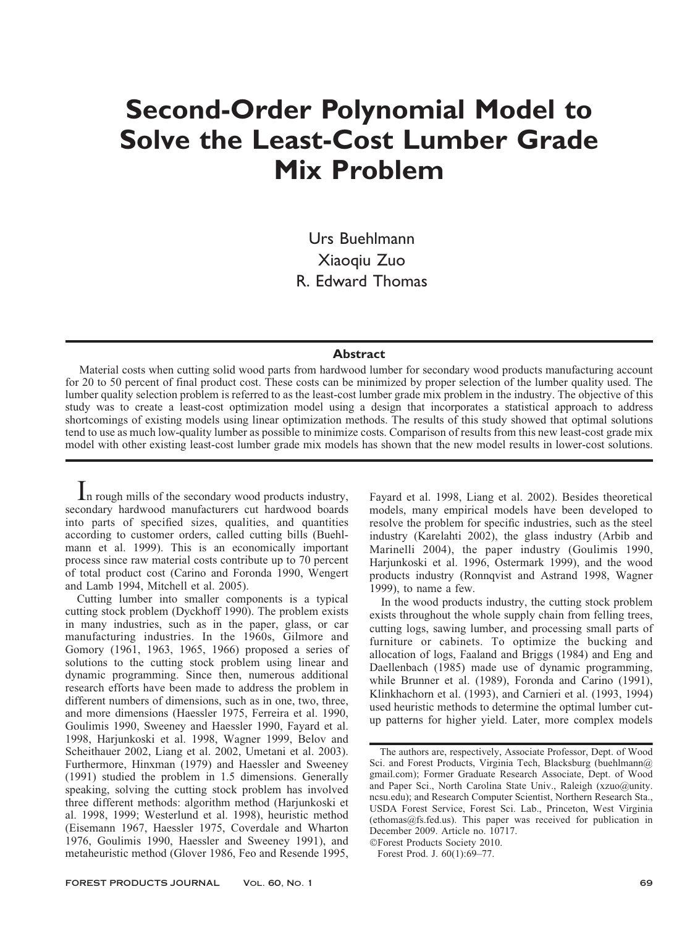# Second-Order Polynomial Model to Solve the Least-Cost Lumber Grade Mix Problem

Urs Buehlmann Xiaoqiu Zuo R. Edward Thomas

### **Abstract**

Material costs when cutting solid wood parts from hardwood lumber for secondary wood products manufacturing account for 20 to 50 percent of final product cost. These costs can be minimized by proper selection of the lumber quality used. The lumber quality selection problem is referred to as the least-cost lumber grade mix problem in the industry. The objective of this study was to create a least-cost optimization model using a design that incorporates a statistical approach to address shortcomings of existing models using linear optimization methods. The results of this study showed that optimal solutions tend to use as much low-quality lumber as possible to minimize costs. Comparison of results from this new least-cost grade mix model with other existing least-cost lumber grade mix models has shown that the new model results in lower-cost solutions.

In rough mills of the secondary wood products industry, secondary hardwood manufacturers cut hardwood boards into parts of specified sizes, qualities, and quantities according to customer orders, called cutting bills (Buehlmann et al. 1999). This is an economically important process since raw material costs contribute up to 70 percent of total product cost (Carino and Foronda 1990, Wengert and Lamb 1994, Mitchell et al. 2005).

Cutting lumber into smaller components is a typical cutting stock problem (Dyckhoff 1990). The problem exists in many industries, such as in the paper, glass, or car manufacturing industries. In the 1960s, Gilmore and Gomory (1961, 1963, 1965, 1966) proposed a series of solutions to the cutting stock problem using linear and dynamic programming. Since then, numerous additional research efforts have been made to address the problem in different numbers of dimensions, such as in one, two, three, and more dimensions (Haessler 1975, Ferreira et al. 1990, Goulimis 1990, Sweeney and Haessler 1990, Fayard et al. 1998, Harjunkoski et al. 1998, Wagner 1999, Belov and Scheithauer 2002, Liang et al. 2002, Umetani et al. 2003). Furthermore, Hinxman (1979) and Haessler and Sweeney (1991) studied the problem in 1.5 dimensions. Generally speaking, solving the cutting stock problem has involved three different methods: algorithm method (Harjunkoski et al. 1998, 1999; Westerlund et al. 1998), heuristic method (Eisemann 1967, Haessler 1975, Coverdale and Wharton 1976, Goulimis 1990, Haessler and Sweeney 1991), and metaheuristic method (Glover 1986, Feo and Resende 1995,

Fayard et al. 1998, Liang et al. 2002). Besides theoretical models, many empirical models have been developed to resolve the problem for specific industries, such as the steel industry (Karelahti 2002), the glass industry (Arbib and Marinelli 2004), the paper industry (Goulimis 1990, Harjunkoski et al. 1996, Ostermark 1999), and the wood products industry (Ronnqvist and Astrand 1998, Wagner 1999), to name a few.

In the wood products industry, the cutting stock problem exists throughout the whole supply chain from felling trees, cutting logs, sawing lumber, and processing small parts of furniture or cabinets. To optimize the bucking and allocation of logs, Faaland and Briggs (1984) and Eng and Daellenbach (1985) made use of dynamic programming, while Brunner et al. (1989), Foronda and Carino (1991), Klinkhachorn et al. (1993), and Carnieri et al. (1993, 1994) used heuristic methods to determine the optimal lumber cutup patterns for higher yield. Later, more complex models

!Forest Products Society 2010.

Forest Prod. J. 60(1):69–77.

The authors are, respectively, Associate Professor, Dept. of Wood Sci. and Forest Products, Virginia Tech, Blacksburg (buehlmann@) gmail.com); Former Graduate Research Associate, Dept. of Wood and Paper Sci., North Carolina State Univ., Raleigh (xzuo@unity. ncsu.edu); and Research Computer Scientist, Northern Research Sta., USDA Forest Service, Forest Sci. Lab., Princeton, West Virginia (ethomas@fs.fed.us). This paper was received for publication in December 2009. Article no. 10717.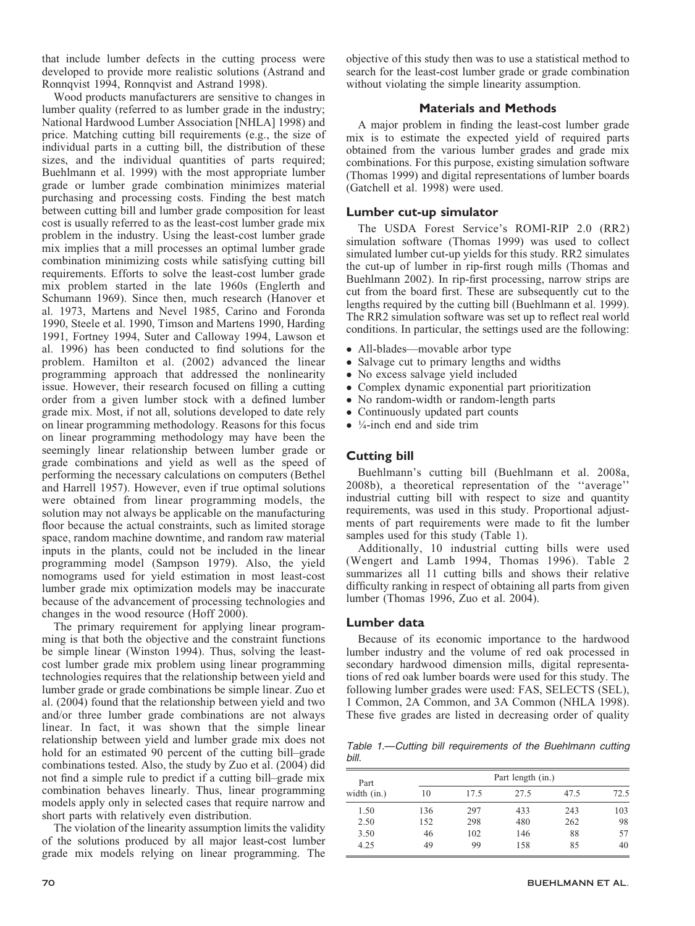that include lumber defects in the cutting process were developed to provide more realistic solutions (Astrand and Ronnqvist 1994, Ronnqvist and Astrand 1998).

Wood products manufacturers are sensitive to changes in lumber quality (referred to as lumber grade in the industry; National Hardwood Lumber Association [NHLA] 1998) and price. Matching cutting bill requirements (e.g., the size of individual parts in a cutting bill, the distribution of these sizes, and the individual quantities of parts required; Buehlmann et al. 1999) with the most appropriate lumber grade or lumber grade combination minimizes material purchasing and processing costs. Finding the best match between cutting bill and lumber grade composition for least cost is usually referred to as the least-cost lumber grade mix problem in the industry. Using the least-cost lumber grade mix implies that a mill processes an optimal lumber grade combination minimizing costs while satisfying cutting bill requirements. Efforts to solve the least-cost lumber grade mix problem started in the late 1960s (Englerth and Schumann 1969). Since then, much research (Hanover et al. 1973, Martens and Nevel 1985, Carino and Foronda 1990, Steele et al. 1990, Timson and Martens 1990, Harding 1991, Fortney 1994, Suter and Calloway 1994, Lawson et al. 1996) has been conducted to find solutions for the problem. Hamilton et al. (2002) advanced the linear programming approach that addressed the nonlinearity issue. However, their research focused on filling a cutting order from a given lumber stock with a defined lumber grade mix. Most, if not all, solutions developed to date rely on linear programming methodology. Reasons for this focus on linear programming methodology may have been the seemingly linear relationship between lumber grade or grade combinations and yield as well as the speed of performing the necessary calculations on computers (Bethel and Harrell 1957). However, even if true optimal solutions were obtained from linear programming models, the solution may not always be applicable on the manufacturing floor because the actual constraints, such as limited storage space, random machine downtime, and random raw material inputs in the plants, could not be included in the linear programming model (Sampson 1979). Also, the yield nomograms used for yield estimation in most least-cost lumber grade mix optimization models may be inaccurate because of the advancement of processing technologies and changes in the wood resource (Hoff 2000).

The primary requirement for applying linear programming is that both the objective and the constraint functions be simple linear (Winston 1994). Thus, solving the leastcost lumber grade mix problem using linear programming technologies requires that the relationship between yield and lumber grade or grade combinations be simple linear. Zuo et al. (2004) found that the relationship between yield and two and/or three lumber grade combinations are not always linear. In fact, it was shown that the simple linear relationship between yield and lumber grade mix does not hold for an estimated 90 percent of the cutting bill–grade combinations tested. Also, the study by Zuo et al. (2004) did not find a simple rule to predict if a cutting bill–grade mix combination behaves linearly. Thus, linear programming models apply only in selected cases that require narrow and short parts with relatively even distribution.

The violation of the linearity assumption limits the validity of the solutions produced by all major least-cost lumber grade mix models relying on linear programming. The

objective of this study then was to use a statistical method to search for the least-cost lumber grade or grade combination without violating the simple linearity assumption.

# Materials and Methods

A major problem in finding the least-cost lumber grade mix is to estimate the expected yield of required parts obtained from the various lumber grades and grade mix combinations. For this purpose, existing simulation software (Thomas 1999) and digital representations of lumber boards (Gatchell et al. 1998) were used.

## Lumber cut-up simulator

The USDA Forest Service's ROMI-RIP 2.0 (RR2) simulation software (Thomas 1999) was used to collect simulated lumber cut-up yields for this study. RR2 simulates the cut-up of lumber in rip-first rough mills (Thomas and Buehlmann 2002). In rip-first processing, narrow strips are cut from the board first. These are subsequently cut to the lengths required by the cutting bill (Buehlmann et al. 1999). The RR2 simulation software was set up to reflect real world conditions. In particular, the settings used are the following:

- All-blades—movable arbor type
- Salvage cut to primary lengths and widths
- No excess salvage yield included<br>• Complex dynamic exponential part
- Complex dynamic exponential part prioritization<br>• No random-width or random-length parts
- No random-width or random-length parts<br>• Continuously undated part counts
- Continuously updated part counts
- $\bullet$  ¼-inch end and side trim

# Cutting bill

Buehlmann's cutting bill (Buehlmann et al. 2008a, 2008b), a theoretical representation of the ''average'' industrial cutting bill with respect to size and quantity requirements, was used in this study. Proportional adjustments of part requirements were made to fit the lumber samples used for this study (Table 1).

Additionally, 10 industrial cutting bills were used (Wengert and Lamb 1994, Thomas 1996). Table 2 summarizes all 11 cutting bills and shows their relative difficulty ranking in respect of obtaining all parts from given lumber (Thomas 1996, Zuo et al. 2004).

## Lumber data

Because of its economic importance to the hardwood lumber industry and the volume of red oak processed in secondary hardwood dimension mills, digital representations of red oak lumber boards were used for this study. The following lumber grades were used: FAS, SELECTS (SEL), 1 Common, 2A Common, and 3A Common (NHLA 1998). These five grades are listed in decreasing order of quality

Table 1.—Cutting bill requirements of the Buehlmann cutting bill.

| Part          |     |      | Part length (in.) |      |      |
|---------------|-----|------|-------------------|------|------|
| width $(in.)$ | 10  | 17.5 | 27.5              | 47.5 | 72.5 |
| 1.50          | 136 | 297  | 433               | 243  | 103  |
| 2.50          | 152 | 298  | 480               | 262  | 98   |
| 3.50          | 46  | 102  | 146               | 88   | 57   |
| 4.25          | 49  | 99   | 158               | 85   | 40   |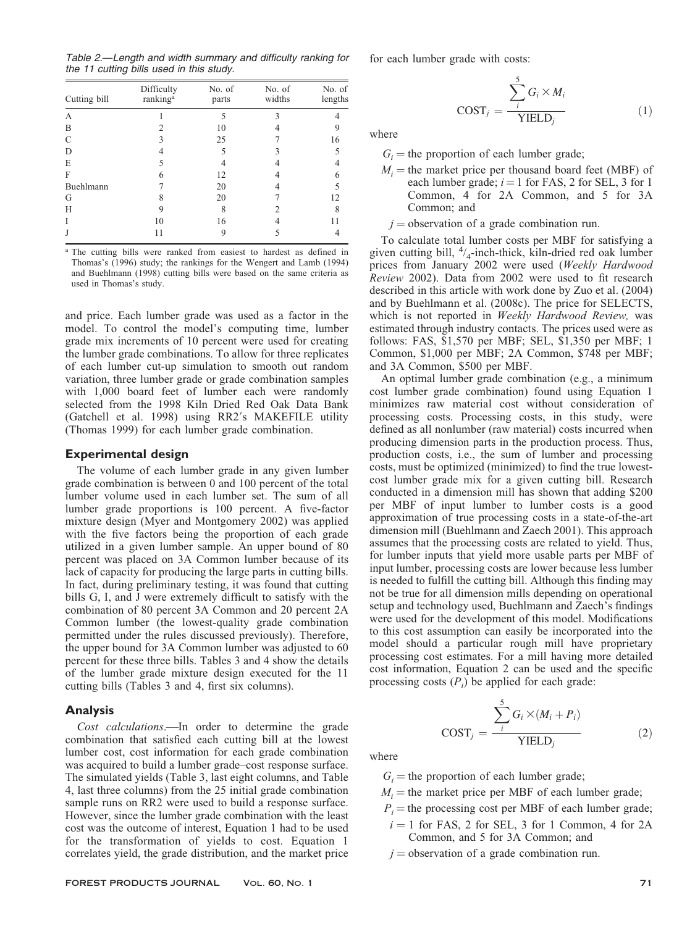Table 2.—Length and width summary and difficulty ranking for the 11 cutting bills used in this study.

| Cutting bill | Difficulty<br>ranking <sup>a</sup> | No. of<br>parts | No. of<br>widths | No. of<br>lengths |
|--------------|------------------------------------|-----------------|------------------|-------------------|
| А            |                                    |                 |                  |                   |
| B            |                                    | 10              |                  |                   |
| C            |                                    | 25              |                  | 16                |
| D            |                                    | 5               |                  |                   |
| E            |                                    |                 |                  |                   |
| F            | 6                                  | 12              |                  |                   |
| Buehlmann    |                                    | 20              |                  |                   |
| G            |                                    | 20              |                  | 12                |
| Н            | 9                                  | 8               |                  | 8                 |
| I            | 10                                 | 16              |                  |                   |
| J            | 11                                 |                 |                  |                   |

<sup>a</sup> The cutting bills were ranked from easiest to hardest as defined in Thomas's (1996) study; the rankings for the Wengert and Lamb (1994) and Buehlmann (1998) cutting bills were based on the same criteria as used in Thomas's study.

and price. Each lumber grade was used as a factor in the model. To control the model's computing time, lumber grade mix increments of 10 percent were used for creating the lumber grade combinations. To allow for three replicates of each lumber cut-up simulation to smooth out random variation, three lumber grade or grade combination samples with 1,000 board feet of lumber each were randomly selected from the 1998 Kiln Dried Red Oak Data Bank (Gatchell et al. 1998) using RR2's MAKEFILE utility (Thomas 1999) for each lumber grade combination.

#### Experimental design

The volume of each lumber grade in any given lumber grade combination is between 0 and 100 percent of the total lumber volume used in each lumber set. The sum of all lumber grade proportions is 100 percent. A five-factor mixture design (Myer and Montgomery 2002) was applied with the five factors being the proportion of each grade utilized in a given lumber sample. An upper bound of 80 percent was placed on 3A Common lumber because of its lack of capacity for producing the large parts in cutting bills. In fact, during preliminary testing, it was found that cutting bills G, I, and J were extremely difficult to satisfy with the combination of 80 percent 3A Common and 20 percent 2A Common lumber (the lowest-quality grade combination permitted under the rules discussed previously). Therefore, the upper bound for 3A Common lumber was adjusted to 60 percent for these three bills. Tables 3 and 4 show the details of the lumber grade mixture design executed for the 11 cutting bills (Tables 3 and 4, first six columns).

#### Analysis

Cost calculations.—In order to determine the grade combination that satisfied each cutting bill at the lowest lumber cost, cost information for each grade combination was acquired to build a lumber grade–cost response surface. The simulated yields (Table 3, last eight columns, and Table 4, last three columns) from the 25 initial grade combination sample runs on RR2 were used to build a response surface. However, since the lumber grade combination with the least cost was the outcome of interest, Equation 1 had to be used for the transformation of yields to cost. Equation 1 correlates yield, the grade distribution, and the market price

FOREST PRODUCTS JOURNAL Vol. 60, No. 1 71

for each lumber grade with costs:

$$
COST_j = \frac{\sum_{i}^{5} G_i \times M_i}{YIELD_j}
$$
 (1)

where

 $G_i$  = the proportion of each lumber grade;

 $M_i$  = the market price per thousand board feet (MBF) of each lumber grade;  $i = 1$  for FAS, 2 for SEL, 3 for 1 Common, 4 for 2A Common, and 5 for 3A Common; and

 $j =$  observation of a grade combination run.

To calculate total lumber costs per MBF for satisfying a given cutting bill, <sup>4</sup> /4-inch-thick, kiln-dried red oak lumber prices from January 2002 were used (Weekly Hardwood Review 2002). Data from 2002 were used to fit research described in this article with work done by Zuo et al. (2004) and by Buehlmann et al. (2008c). The price for SELECTS, which is not reported in Weekly Hardwood Review, was estimated through industry contacts. The prices used were as follows: FAS, \$1,570 per MBF; SEL, \$1,350 per MBF; 1 Common, \$1,000 per MBF; 2A Common, \$748 per MBF; and 3A Common, \$500 per MBF.

An optimal lumber grade combination (e.g., a minimum cost lumber grade combination) found using Equation 1 minimizes raw material cost without consideration of processing costs. Processing costs, in this study, were defined as all nonlumber (raw material) costs incurred when producing dimension parts in the production process. Thus, production costs, i.e., the sum of lumber and processing costs, must be optimized (minimized) to find the true lowestcost lumber grade mix for a given cutting bill. Research conducted in a dimension mill has shown that adding \$200 per MBF of input lumber to lumber costs is a good approximation of true processing costs in a state-of-the-art dimension mill (Buehlmann and Zaech 2001). This approach assumes that the processing costs are related to yield. Thus, for lumber inputs that yield more usable parts per MBF of input lumber, processing costs are lower because less lumber is needed to fulfill the cutting bill. Although this finding may not be true for all dimension mills depending on operational setup and technology used, Buehlmann and Zaech's findings were used for the development of this model. Modifications to this cost assumption can easily be incorporated into the model should a particular rough mill have proprietary processing cost estimates. For a mill having more detailed cost information, Equation 2 can be used and the specific processing costs  $(P_i)$  be applied for each grade:

$$
COST_j = \frac{\sum_{i}^{5} G_i \times (M_i + P_i)}{YIELD_j}
$$
 (2)

where

- $G_i$  = the proportion of each lumber grade;
- $M_i$  = the market price per MBF of each lumber grade;
- $P_i$  = the processing cost per MBF of each lumber grade;
- $i = 1$  for FAS, 2 for SEL, 3 for 1 Common, 4 for 2A Common, and 5 for 3A Common; and
- $j =$  observation of a grade combination run.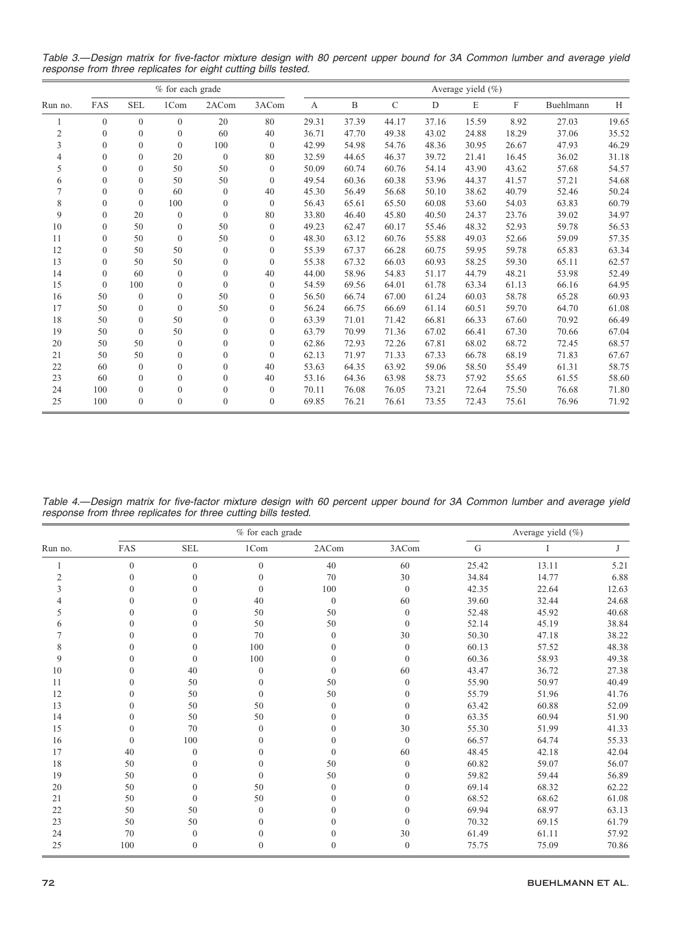Table 3.—Design matrix for five-factor mixture design with 80 percent upper bound for 3A Common lumber and average yield response from three replicates for eight cutting bills tested.

|                | $%$ for each grade |                  |              |              |              |       | Average yield $(\% )$ |               |       |       |       |           |       |
|----------------|--------------------|------------------|--------------|--------------|--------------|-------|-----------------------|---------------|-------|-------|-------|-----------|-------|
| Run no.        | FAS                | <b>SEL</b>       | 1Com         | 2ACom        | 3ACom        | A     | B                     | $\mathcal{C}$ | D     | E     | F     | Buehlmann | H     |
|                | $\theta$           | $\theta$         | $\theta$     | 20           | 80           | 29.31 | 37.39                 | 44.17         | 37.16 | 15.59 | 8.92  | 27.03     | 19.65 |
| $\overline{c}$ | $\theta$           | $\mathbf{0}$     | $\mathbf{0}$ | 60           | 40           | 36.71 | 47.70                 | 49.38         | 43.02 | 24.88 | 18.29 | 37.06     | 35.52 |
| 3              | $\theta$           | $\mathbf{0}$     | $\theta$     | 100          | $\mathbf{0}$ | 42.99 | 54.98                 | 54.76         | 48.36 | 30.95 | 26.67 | 47.93     | 46.29 |
| 4              | $\theta$           | $\mathbf{0}$     | 20           | $\mathbf{0}$ | 80           | 32.59 | 44.65                 | 46.37         | 39.72 | 21.41 | 16.45 | 36.02     | 31.18 |
| 5              | $\Omega$           | $\mathbf{0}$     | 50           | 50           | $\theta$     | 50.09 | 60.74                 | 60.76         | 54.14 | 43.90 | 43.62 | 57.68     | 54.57 |
| 6              | $\Omega$           | $\theta$         | 50           | 50           | $\theta$     | 49.54 | 60.36                 | 60.38         | 53.96 | 44.37 | 41.57 | 57.21     | 54.68 |
| 7              | $\theta$           | $\mathbf{0}$     | 60           | $\mathbf{0}$ | 40           | 45.30 | 56.49                 | 56.68         | 50.10 | 38.62 | 40.79 | 52.46     | 50.24 |
| 8              | $\Omega$           | $\mathbf{0}$     | 100          | $\mathbf{0}$ | $\mathbf{0}$ | 56.43 | 65.61                 | 65.50         | 60.08 | 53.60 | 54.03 | 63.83     | 60.79 |
| 9              | $\theta$           | 20               | $\mathbf{0}$ | $\mathbf{0}$ | 80           | 33.80 | 46.40                 | 45.80         | 40.50 | 24.37 | 23.76 | 39.02     | 34.97 |
| 10             | $\theta$           | 50               | $\mathbf{0}$ | 50           | $\theta$     | 49.23 | 62.47                 | 60.17         | 55.46 | 48.32 | 52.93 | 59.78     | 56.53 |
| 11             | $\Omega$           | 50               | $\theta$     | 50           | $\theta$     | 48.30 | 63.12                 | 60.76         | 55.88 | 49.03 | 52.66 | 59.09     | 57.35 |
| 12             | $\theta$           | 50               | 50           | $\mathbf{0}$ | $\mathbf{0}$ | 55.39 | 67.37                 | 66.28         | 60.75 | 59.95 | 59.78 | 65.83     | 63.34 |
| 13             | $\Omega$           | 50               | 50           | $\Omega$     | $\theta$     | 55.38 | 67.32                 | 66.03         | 60.93 | 58.25 | 59.30 | 65.11     | 62.57 |
| 14             | $\Omega$           | 60               | $\Omega$     | $\theta$     | 40           | 44.00 | 58.96                 | 54.83         | 51.17 | 44.79 | 48.21 | 53.98     | 52.49 |
| 15             | $\Omega$           | 100              | $\mathbf{0}$ | $\mathbf{0}$ | $\mathbf{0}$ | 54.59 | 69.56                 | 64.01         | 61.78 | 63.34 | 61.13 | 66.16     | 64.95 |
| 16             | 50                 | $\boldsymbol{0}$ | $\Omega$     | 50           | $\mathbf{0}$ | 56.50 | 66.74                 | 67.00         | 61.24 | 60.03 | 58.78 | 65.28     | 60.93 |
| 17             | 50                 | $\mathbf{0}$     | $\mathbf{0}$ | 50           | $\theta$     | 56.24 | 66.75                 | 66.69         | 61.14 | 60.51 | 59.70 | 64.70     | 61.08 |
| 18             | 50                 | $\mathbf{0}$     | 50           | $\theta$     | $\theta$     | 63.39 | 71.01                 | 71.42         | 66.81 | 66.33 | 67.60 | 70.92     | 66.49 |
| 19             | 50                 | $\theta$         | 50           | $\Omega$     | $\theta$     | 63.79 | 70.99                 | 71.36         | 67.02 | 66.41 | 67.30 | 70.66     | 67.04 |
| 20             | 50                 | 50               | $\Omega$     | $\theta$     | $\theta$     | 62.86 | 72.93                 | 72.26         | 67.81 | 68.02 | 68.72 | 72.45     | 68.57 |
| 21             | 50                 | 50               | $\theta$     | $\Omega$     | $\theta$     | 62.13 | 71.97                 | 71.33         | 67.33 | 66.78 | 68.19 | 71.83     | 67.67 |
| 22             | 60                 | $\mathbf{0}$     | $\mathbf{0}$ | $\mathbf{0}$ | 40           | 53.63 | 64.35                 | 63.92         | 59.06 | 58.50 | 55.49 | 61.31     | 58.75 |
| 23             | 60                 | $\mathbf{0}$     | $\theta$     | $\theta$     | 40           | 53.16 | 64.36                 | 63.98         | 58.73 | 57.92 | 55.65 | 61.55     | 58.60 |
| 24             | 100                | $\mathbf{0}$     | $\theta$     | $\Omega$     | $\theta$     | 70.11 | 76.08                 | 76.05         | 73.21 | 72.64 | 75.50 | 76.68     | 71.80 |
| 25             | 100                | $\boldsymbol{0}$ | $\theta$     | $\theta$     | $\theta$     | 69.85 | 76.21                 | 76.61         | 73.55 | 72.43 | 75.61 | 76.96     | 71.92 |

Table 4.—Design matrix for five-factor mixture design with 60 percent upper bound for 3A Common lumber and average yield response from three replicates for three cutting bills tested.

|                |          |              |              | Average yield $(\% )$ |                  |           |       |       |
|----------------|----------|--------------|--------------|-----------------------|------------------|-----------|-------|-------|
| Run no.        | FAS      | <b>SEL</b>   | 1Com         | 2ACom                 | 3ACom            | ${\rm G}$ |       |       |
|                | $\theta$ | $\theta$     | $\theta$     | 40                    | 60               | 25.42     | 13.11 | 5.21  |
| $\overline{c}$ | $\theta$ | $\theta$     | $\theta$     | 70                    | 30               | 34.84     | 14.77 | 6.88  |
|                | $\Omega$ | $\theta$     | $\Omega$     | 100                   | $\mathbf{0}$     | 42.35     | 22.64 | 12.63 |
|                | $\Omega$ | $\theta$     | 40           | $\mathbf{0}$          | 60               | 39.60     | 32.44 | 24.68 |
|                | $\theta$ | $\theta$     | 50           | 50                    | $\boldsymbol{0}$ | 52.48     | 45.92 | 40.68 |
|                | $\Omega$ | $\Omega$     | 50           | 50                    | $\Omega$         | 52.14     | 45.19 | 38.84 |
|                | $\Omega$ | $\Omega$     | 70           | $\Omega$              | 30               | 50.30     | 47.18 | 38.22 |
| 8              | $\Omega$ | $\theta$     | 100          | $\mathbf{0}$          | $\mathbf{0}$     | 60.13     | 57.52 | 48.38 |
| 9              | $\Omega$ | $\Omega$     | 100          | $\Omega$              | $\Omega$         | 60.36     | 58.93 | 49.38 |
| 10             | $\Omega$ | 40           | $\theta$     | $\Omega$              | 60               | 43.47     | 36.72 | 27.38 |
| 11             | $\Omega$ | 50           | $\mathbf{0}$ | 50                    | $\mathbf{0}$     | 55.90     | 50.97 | 40.49 |
| 12             | $\Omega$ | 50           | $\theta$     | 50                    | $\Omega$         | 55.79     | 51.96 | 41.76 |
| 13             | $\Omega$ | 50           | 50           | $\Omega$              | $\mathbf{0}$     | 63.42     | 60.88 | 52.09 |
| 14             | $\Omega$ | 50           | 50           | $\Omega$              | $\mathbf{0}$     | 63.35     | 60.94 | 51.90 |
| 15             | $\Omega$ | 70           | $\mathbf{0}$ | $\Omega$              | 30               | 55.30     | 51.99 | 41.33 |
| 16             | $\theta$ | 100          | $\mathbf{0}$ | $\Omega$              | $\mathbf{0}$     | 66.57     | 64.74 | 55.33 |
| 17             | 40       | $\Omega$     | $\theta$     | $\Omega$              | 60               | 48.45     | 42.18 | 42.04 |
| 18             | 50       | $\theta$     | $\theta$     | 50                    | $\mathbf{0}$     | 60.82     | 59.07 | 56.07 |
| 19             | 50       | $\theta$     | $\Omega$     | 50                    | $\Omega$         | 59.82     | 59.44 | 56.89 |
| 20             | 50       | $\Omega$     | 50           | $\Omega$              | $\Omega$         | 69.14     | 68.32 | 62.22 |
| 21             | 50       | $\mathbf{0}$ | 50           | $\Omega$              | $\mathbf{0}$     | 68.52     | 68.62 | 61.08 |
| 22             | 50       | 50           | $\theta$     | $\Omega$              | $\Omega$         | 69.94     | 68.97 | 63.13 |
| 23             | 50       | 50           | $\Omega$     | $\Omega$              | $\mathbf{0}$     | 70.32     | 69.15 | 61.79 |
| 24             | 70       | $\mathbf{0}$ | $\mathbf{0}$ | 0                     | 30               | 61.49     | 61.11 | 57.92 |
| 25             | 100      | $\theta$     | $\theta$     | $\Omega$              | $\mathbf{0}$     | 75.75     | 75.09 | 70.86 |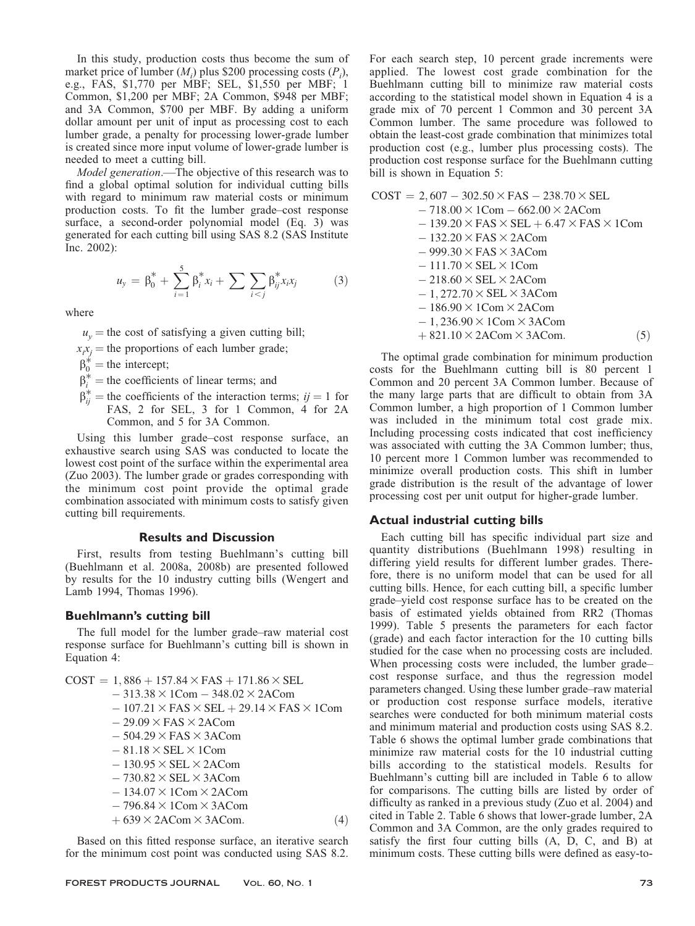In this study, production costs thus become the sum of market price of lumber  $(M_i)$  plus \$200 processing costs  $(P_i)$ , e.g., FAS, \$1,770 per MBF; SEL, \$1,550 per MBF; 1 Common, \$1,200 per MBF; 2A Common, \$948 per MBF; and 3A Common, \$700 per MBF. By adding a uniform dollar amount per unit of input as processing cost to each lumber grade, a penalty for processing lower-grade lumber is created since more input volume of lower-grade lumber is needed to meet a cutting bill.

Model generation.—The objective of this research was to find a global optimal solution for individual cutting bills with regard to minimum raw material costs or minimum production costs. To fit the lumber grade–cost response surface, a second-order polynomial model (Eq. 3) was generated for each cutting bill using SAS 8.2 (SAS Institute Inc. 2002):

$$
u_{y} = \beta_{0}^{*} + \sum_{i=1}^{5} \beta_{i}^{*} x_{i} + \sum \sum_{i < j} \beta_{ij}^{*} x_{i} x_{j} \tag{3}
$$

where

 $u<sub>v</sub>$  = the cost of satisfying a given cutting bill;

 $x_i x_j$  = the proportions of each lumber grade;

 $\beta_0^*$  = the intercept;

- $\beta_i^*$  = the coefficients of linear terms; and
- $\beta_{ij}^*$  = the coefficients of the interaction terms;  $ij = 1$  for FAS, 2 for SEL, 3 for 1 Common, 4 for 2A Common, and 5 for 3A Common.

Using this lumber grade–cost response surface, an exhaustive search using SAS was conducted to locate the lowest cost point of the surface within the experimental area (Zuo 2003). The lumber grade or grades corresponding with the minimum cost point provide the optimal grade combination associated with minimum costs to satisfy given cutting bill requirements.

#### Results and Discussion

First, results from testing Buehlmann's cutting bill (Buehlmann et al. 2008a, 2008b) are presented followed by results for the 10 industry cutting bills (Wengert and Lamb 1994, Thomas 1996).

#### Buehlmann's cutting bill

The full model for the lumber grade–raw material cost response surface for Buehlmann's cutting bill is shown in Equation 4:

$$
COST = 1,886 + 157.84 \times FAS + 171.86 \times SEL
$$
  
\n
$$
-313.38 \times 1Com - 348.02 \times 2ACom
$$
  
\n
$$
-107.21 \times FAS \times SEL + 29.14 \times FAS \times 1Com
$$
  
\n
$$
-29.09 \times FAS \times 2ACom
$$
  
\n
$$
-504.29 \times FAS \times 3ACom
$$
  
\n
$$
-81.18 \times SEL \times 1Com
$$
  
\n
$$
-130.95 \times SEL \times 2ACom
$$
  
\n
$$
-730.82 \times SEL \times 3ACom
$$
  
\n
$$
-134.07 \times 1Com \times 2ACom
$$
  
\n
$$
-796.84 \times 1Com \times 3ACom
$$
  
\n
$$
+639 \times 2ACom \times 3ACom.
$$
  
\n(4)

Based on this fitted response surface, an iterative search for the minimum cost point was conducted using SAS 8.2.

For each search step, 10 percent grade increments were applied. The lowest cost grade combination for the Buehlmann cutting bill to minimize raw material costs according to the statistical model shown in Equation 4 is a grade mix of 70 percent 1 Common and 30 percent 3A Common lumber. The same procedure was followed to obtain the least-cost grade combination that minimizes total production cost (e.g., lumber plus processing costs). The production cost response surface for the Buehlmann cutting bill is shown in Equation 5:

$$
COST = 2,607 - 302.50 \times FAS - 238.70 \times SEL - 718.00 \times 1Com - 662.00 \times 2ACom - 139.20 \times FAS \times SEL + 6.47 \times FAS \times 1Com - 132.20 \times FAS \times 2ACom - 999.30 \times FAS \times 3ACom - 111.70 \times SEL \times 1Com - 218.60 \times SEL \times 2ACom - 1,272.70 \times SEL \times 3ACom - 186.90 \times 1Com \times 2ACom - 1,236.90 \times 1Com \times 3ACom + 821.10 \times 2ACom \times 3ACom. (5)
$$

The optimal grade combination for minimum production costs for the Buehlmann cutting bill is 80 percent 1 Common and 20 percent 3A Common lumber. Because of the many large parts that are difficult to obtain from 3A Common lumber, a high proportion of 1 Common lumber was included in the minimum total cost grade mix. Including processing costs indicated that cost inefficiency was associated with cutting the 3A Common lumber; thus, 10 percent more 1 Common lumber was recommended to minimize overall production costs. This shift in lumber grade distribution is the result of the advantage of lower processing cost per unit output for higher-grade lumber.

# Actual industrial cutting bills

Each cutting bill has specific individual part size and quantity distributions (Buehlmann 1998) resulting in differing yield results for different lumber grades. Therefore, there is no uniform model that can be used for all cutting bills. Hence, for each cutting bill, a specific lumber grade–yield cost response surface has to be created on the basis of estimated yields obtained from RR2 (Thomas 1999). Table 5 presents the parameters for each factor (grade) and each factor interaction for the 10 cutting bills studied for the case when no processing costs are included. When processing costs were included, the lumber grade– cost response surface, and thus the regression model parameters changed. Using these lumber grade–raw material or production cost response surface models, iterative searches were conducted for both minimum material costs and minimum material and production costs using SAS 8.2. Table 6 shows the optimal lumber grade combinations that minimize raw material costs for the 10 industrial cutting bills according to the statistical models. Results for Buehlmann's cutting bill are included in Table 6 to allow for comparisons. The cutting bills are listed by order of difficulty as ranked in a previous study (Zuo et al. 2004) and cited in Table 2. Table 6 shows that lower-grade lumber, 2A Common and 3A Common, are the only grades required to satisfy the first four cutting bills (A, D, C, and B) at minimum costs. These cutting bills were defined as easy-to-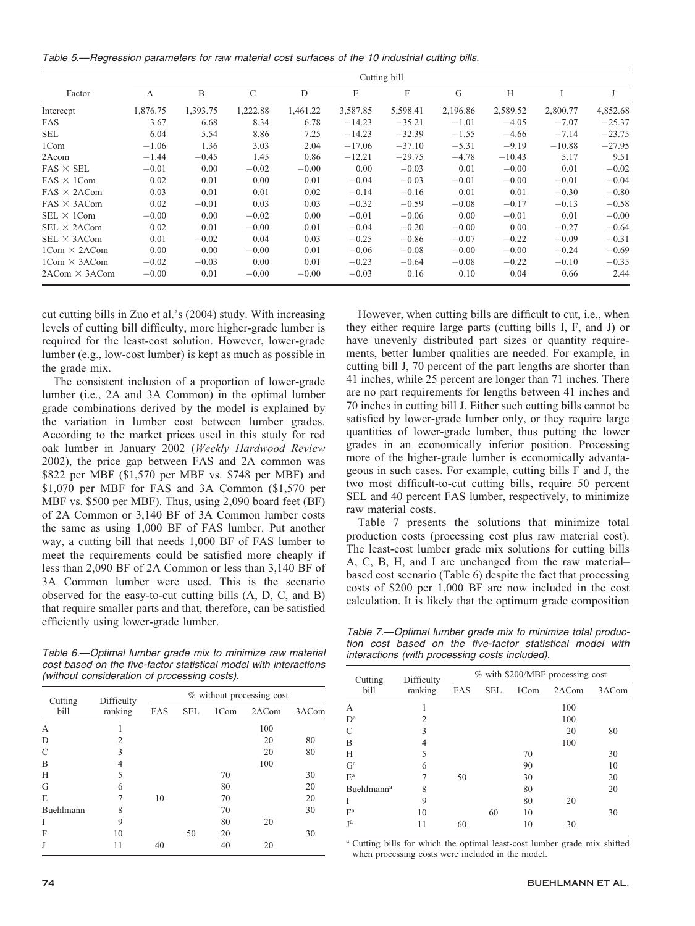Table 5.—Regression parameters for raw material cost surfaces of the 10 industrial cutting bills.

|                                     | Cutting bill |          |          |          |          |          |          |          |          |          |
|-------------------------------------|--------------|----------|----------|----------|----------|----------|----------|----------|----------|----------|
| Factor                              | A            | B        | C        | D        | E        | F        | G        | H        |          |          |
| Intercept                           | 1,876.75     | 1,393.75 | 1,222.88 | 1,461.22 | 3,587.85 | 5,598.41 | 2,196.86 | 2,589.52 | 2,800.77 | 4,852.68 |
| <b>FAS</b>                          | 3.67         | 6.68     | 8.34     | 6.78     | $-14.23$ | $-35.21$ | $-1.01$  | $-4.05$  | $-7.07$  | $-25.37$ |
| SEL                                 | 6.04         | 5.54     | 8.86     | 7.25     | $-14.23$ | $-32.39$ | $-1.55$  | $-4.66$  | $-7.14$  | $-23.75$ |
| 1Com                                | $-1.06$      | 1.36     | 3.03     | 2.04     | $-17.06$ | $-37.10$ | $-5.31$  | $-9.19$  | $-10.88$ | $-27.95$ |
| 2Acom                               | $-1.44$      | $-0.45$  | 1.45     | 0.86     | $-12.21$ | $-29.75$ | $-4.78$  | $-10.43$ | 5.17     | 9.51     |
| $FAS \times SEL$                    | $-0.01$      | 0.00     | $-0.02$  | $-0.00$  | 0.00     | $-0.03$  | 0.01     | $-0.00$  | 0.01     | $-0.02$  |
| $FAS \times 1Com$                   | 0.02         | 0.01     | 0.00     | 0.01     | $-0.04$  | $-0.03$  | $-0.01$  | $-0.00$  | $-0.01$  | $-0.04$  |
| $FAS \times 2ACom$                  | 0.03         | 0.01     | 0.01     | 0.02     | $-0.14$  | $-0.16$  | 0.01     | 0.01     | $-0.30$  | $-0.80$  |
| $FAS \times 3ACom$                  | 0.02         | $-0.01$  | 0.03     | 0.03     | $-0.32$  | $-0.59$  | $-0.08$  | $-0.17$  | $-0.13$  | $-0.58$  |
| $SEL \times 1Com$                   | $-0.00$      | 0.00     | $-0.02$  | 0.00     | $-0.01$  | $-0.06$  | 0.00     | $-0.01$  | 0.01     | $-0.00$  |
| $SEL \times 2ACom$                  | 0.02         | 0.01     | $-0.00$  | 0.01     | $-0.04$  | $-0.20$  | $-0.00$  | 0.00     | $-0.27$  | $-0.64$  |
| $SEL \times 3ACom$                  | 0.01         | $-0.02$  | 0.04     | 0.03     | $-0.25$  | $-0.86$  | $-0.07$  | $-0.22$  | $-0.09$  | $-0.31$  |
| $1 \text{Com} \times 2 \text{ACom}$ | 0.00         | 0.00     | $-0.00$  | 0.01     | $-0.06$  | $-0.08$  | $-0.00$  | $-0.00$  | $-0.24$  | $-0.69$  |
| $1Com \times 3ACom$                 | $-0.02$      | $-0.03$  | 0.00     | 0.01     | $-0.23$  | $-0.64$  | $-0.08$  | $-0.22$  | $-0.10$  | $-0.35$  |
| $2ACom \times 3ACom$                | $-0.00$      | 0.01     | $-0.00$  | $-0.00$  | $-0.03$  | 0.16     | 0.10     | 0.04     | 0.66     | 2.44     |

cut cutting bills in Zuo et al.'s (2004) study. With increasing levels of cutting bill difficulty, more higher-grade lumber is required for the least-cost solution. However, lower-grade lumber (e.g., low-cost lumber) is kept as much as possible in the grade mix.

The consistent inclusion of a proportion of lower-grade lumber (i.e., 2A and 3A Common) in the optimal lumber grade combinations derived by the model is explained by the variation in lumber cost between lumber grades. According to the market prices used in this study for red oak lumber in January 2002 (Weekly Hardwood Review 2002), the price gap between FAS and 2A common was \$822 per MBF (\$1,570 per MBF vs. \$748 per MBF) and \$1,070 per MBF for FAS and 3A Common (\$1,570 per MBF vs. \$500 per MBF). Thus, using 2,090 board feet (BF) of 2A Common or 3,140 BF of 3A Common lumber costs the same as using 1,000 BF of FAS lumber. Put another way, a cutting bill that needs 1,000 BF of FAS lumber to meet the requirements could be satisfied more cheaply if less than 2,090 BF of 2A Common or less than 3,140 BF of 3A Common lumber were used. This is the scenario observed for the easy-to-cut cutting bills (A, D, C, and B) that require smaller parts and that, therefore, can be satisfied efficiently using lower-grade lumber.

Table 6.—Optimal lumber grade mix to minimize raw material cost based on the five-factor statistical model with interactions (without consideration of processing costs).

| Cutting       | Difficulty     | % without processing cost |            |      |       |       |  |  |  |
|---------------|----------------|---------------------------|------------|------|-------|-------|--|--|--|
| bill          | ranking        | FAS                       | <b>SEL</b> | 1Com | 2ACom | 3ACom |  |  |  |
| A             |                |                           |            |      | 100   |       |  |  |  |
| D             | $\overline{2}$ |                           |            |      | 20    | 80    |  |  |  |
| $\mathcal{C}$ | 3              |                           |            |      | 20    | 80    |  |  |  |
| B             | $\overline{4}$ |                           |            |      | 100   |       |  |  |  |
| Н             | 5              |                           |            | 70   |       | 30    |  |  |  |
| G             | 6              |                           |            | 80   |       | 20    |  |  |  |
| E             | 7              | 10                        |            | 70   |       | 20    |  |  |  |
| Buehlmann     | 8              |                           |            | 70   |       | 30    |  |  |  |
| I             | 9              |                           |            | 80   | 20    |       |  |  |  |
| F             | 10             |                           | 50         | 20   |       | 30    |  |  |  |
| J             | 11             | 40                        |            | 40   | 20    |       |  |  |  |

However, when cutting bills are difficult to cut, i.e., when they either require large parts (cutting bills I, F, and J) or have unevenly distributed part sizes or quantity requirements, better lumber qualities are needed. For example, in cutting bill J, 70 percent of the part lengths are shorter than 41 inches, while 25 percent are longer than 71 inches. There are no part requirements for lengths between 41 inches and 70 inches in cutting bill J. Either such cutting bills cannot be satisfied by lower-grade lumber only, or they require large quantities of lower-grade lumber, thus putting the lower grades in an economically inferior position. Processing more of the higher-grade lumber is economically advantageous in such cases. For example, cutting bills F and J, the two most difficult-to-cut cutting bills, require 50 percent SEL and 40 percent FAS lumber, respectively, to minimize raw material costs.

Table 7 presents the solutions that minimize total production costs (processing cost plus raw material cost). The least-cost lumber grade mix solutions for cutting bills A, C, B, H, and I are unchanged from the raw material– based cost scenario (Table 6) despite the fact that processing costs of \$200 per 1,000 BF are now included in the cost calculation. It is likely that the optimum grade composition

Table 7.—Optimal lumber grade mix to minimize total production cost based on the five-factor statistical model with interactions (with processing costs included).

| Cutting                   | Difficulty | % with \$200/MBF processing cost |            |      |       |       |  |  |  |
|---------------------------|------------|----------------------------------|------------|------|-------|-------|--|--|--|
| bill                      | ranking    | FAS                              | <b>SEL</b> | 1Com | 2ACom | 3ACom |  |  |  |
| A                         |            |                                  |            |      | 100   |       |  |  |  |
| $D^a$                     | 2          |                                  |            |      | 100   |       |  |  |  |
| C                         | 3          |                                  |            |      | 20    | 80    |  |  |  |
| B                         | 4          |                                  |            |      | 100   |       |  |  |  |
| H                         | 5          |                                  |            | 70   |       | 30    |  |  |  |
| $\mathsf{G}^{\mathrm{a}}$ | 6          |                                  |            | 90   |       | 10    |  |  |  |
| $E^a$                     | 7          | 50                               |            | 30   |       | 20    |  |  |  |
| Buehlmann <sup>a</sup>    | 8          |                                  |            | 80   |       | 20    |  |  |  |
| T                         | 9          |                                  |            | 80   | 20    |       |  |  |  |
| F <sup>a</sup>            | 10         |                                  | 60         | 10   |       | 30    |  |  |  |
| Ja                        | 11         | 60                               |            | 10   | 30    |       |  |  |  |

<sup>a</sup> Cutting bills for which the optimal least-cost lumber grade mix shifted when processing costs were included in the model.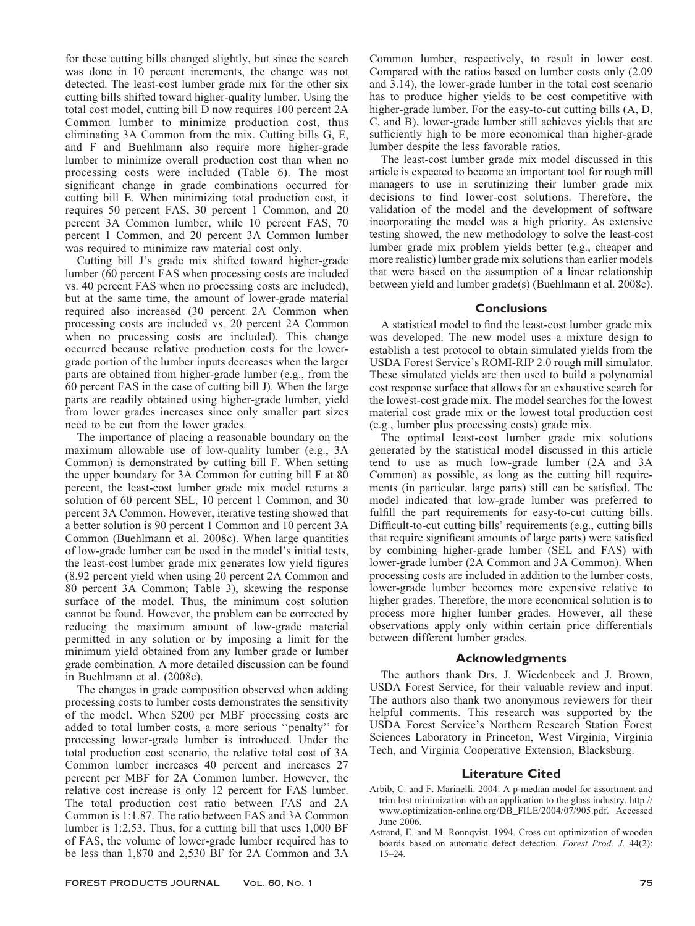for these cutting bills changed slightly, but since the search was done in 10 percent increments, the change was not detected. The least-cost lumber grade mix for the other six cutting bills shifted toward higher-quality lumber. Using the total cost model, cutting bill D now requires 100 percent 2A Common lumber to minimize production cost, thus eliminating 3A Common from the mix. Cutting bills G, E, and F and Buehlmann also require more higher-grade lumber to minimize overall production cost than when no processing costs were included (Table 6). The most significant change in grade combinations occurred for cutting bill E. When minimizing total production cost, it requires 50 percent FAS, 30 percent 1 Common, and 20 percent 3A Common lumber, while 10 percent FAS, 70 percent 1 Common, and 20 percent 3A Common lumber was required to minimize raw material cost only.

Cutting bill J's grade mix shifted toward higher-grade lumber (60 percent FAS when processing costs are included vs. 40 percent FAS when no processing costs are included), but at the same time, the amount of lower-grade material required also increased (30 percent 2A Common when processing costs are included vs. 20 percent 2A Common when no processing costs are included). This change occurred because relative production costs for the lowergrade portion of the lumber inputs decreases when the larger parts are obtained from higher-grade lumber (e.g., from the 60 percent FAS in the case of cutting bill J). When the large parts are readily obtained using higher-grade lumber, yield from lower grades increases since only smaller part sizes need to be cut from the lower grades.

The importance of placing a reasonable boundary on the maximum allowable use of low-quality lumber (e.g., 3A Common) is demonstrated by cutting bill F. When setting the upper boundary for 3A Common for cutting bill F at 80 percent, the least-cost lumber grade mix model returns a solution of 60 percent SEL, 10 percent 1 Common, and 30 percent 3A Common. However, iterative testing showed that a better solution is 90 percent 1 Common and 10 percent 3A Common (Buehlmann et al. 2008c). When large quantities of low-grade lumber can be used in the model's initial tests, the least-cost lumber grade mix generates low yield figures (8.92 percent yield when using 20 percent 2A Common and 80 percent 3A Common; Table 3), skewing the response surface of the model. Thus, the minimum cost solution cannot be found. However, the problem can be corrected by reducing the maximum amount of low-grade material permitted in any solution or by imposing a limit for the minimum yield obtained from any lumber grade or lumber grade combination. A more detailed discussion can be found in Buehlmann et al. (2008c).

The changes in grade composition observed when adding processing costs to lumber costs demonstrates the sensitivity of the model. When \$200 per MBF processing costs are added to total lumber costs, a more serious ''penalty'' for processing lower-grade lumber is introduced. Under the total production cost scenario, the relative total cost of 3A Common lumber increases 40 percent and increases 27 percent per MBF for 2A Common lumber. However, the relative cost increase is only 12 percent for FAS lumber. The total production cost ratio between FAS and 2A Common is 1:1.87. The ratio between FAS and 3A Common lumber is 1:2.53. Thus, for a cutting bill that uses 1,000 BF of FAS, the volume of lower-grade lumber required has to be less than 1,870 and 2,530 BF for 2A Common and 3A

Common lumber, respectively, to result in lower cost. Compared with the ratios based on lumber costs only (2.09 and 3.14), the lower-grade lumber in the total cost scenario has to produce higher yields to be cost competitive with higher-grade lumber. For the easy-to-cut cutting bills (A, D, C, and B), lower-grade lumber still achieves yields that are sufficiently high to be more economical than higher-grade lumber despite the less favorable ratios.

The least-cost lumber grade mix model discussed in this article is expected to become an important tool for rough mill managers to use in scrutinizing their lumber grade mix decisions to find lower-cost solutions. Therefore, the validation of the model and the development of software incorporating the model was a high priority. As extensive testing showed, the new methodology to solve the least-cost lumber grade mix problem yields better (e.g., cheaper and more realistic) lumber grade mix solutions than earlier models that were based on the assumption of a linear relationship between yield and lumber grade(s) (Buehlmann et al. 2008c).

# **Conclusions**

A statistical model to find the least-cost lumber grade mix was developed. The new model uses a mixture design to establish a test protocol to obtain simulated yields from the USDA Forest Service's ROMI-RIP 2.0 rough mill simulator. These simulated yields are then used to build a polynomial cost response surface that allows for an exhaustive search for the lowest-cost grade mix. The model searches for the lowest material cost grade mix or the lowest total production cost (e.g., lumber plus processing costs) grade mix.

The optimal least-cost lumber grade mix solutions generated by the statistical model discussed in this article tend to use as much low-grade lumber (2A and 3A Common) as possible, as long as the cutting bill requirements (in particular, large parts) still can be satisfied. The model indicated that low-grade lumber was preferred to fulfill the part requirements for easy-to-cut cutting bills. Difficult-to-cut cutting bills' requirements (e.g., cutting bills that require significant amounts of large parts) were satisfied by combining higher-grade lumber (SEL and FAS) with lower-grade lumber (2A Common and 3A Common). When processing costs are included in addition to the lumber costs, lower-grade lumber becomes more expensive relative to higher grades. Therefore, the more economical solution is to process more higher lumber grades. However, all these observations apply only within certain price differentials between different lumber grades.

#### Acknowledgments

The authors thank Drs. J. Wiedenbeck and J. Brown, USDA Forest Service, for their valuable review and input. The authors also thank two anonymous reviewers for their helpful comments. This research was supported by the USDA Forest Service's Northern Research Station Forest Sciences Laboratory in Princeton, West Virginia, Virginia Tech, and Virginia Cooperative Extension, Blacksburg.

#### Literature Cited

- Arbib, C. and F. Marinelli. 2004. A p-median model for assortment and trim lost minimization with an application to the glass industry. http:// www.optimization-online.org/DB\_FILE/2004/07/905.pdf. Accessed June 2006.
- Astrand, E. and M. Ronnqvist. 1994. Cross cut optimization of wooden boards based on automatic defect detection. Forest Prod. J. 44(2): 15–24.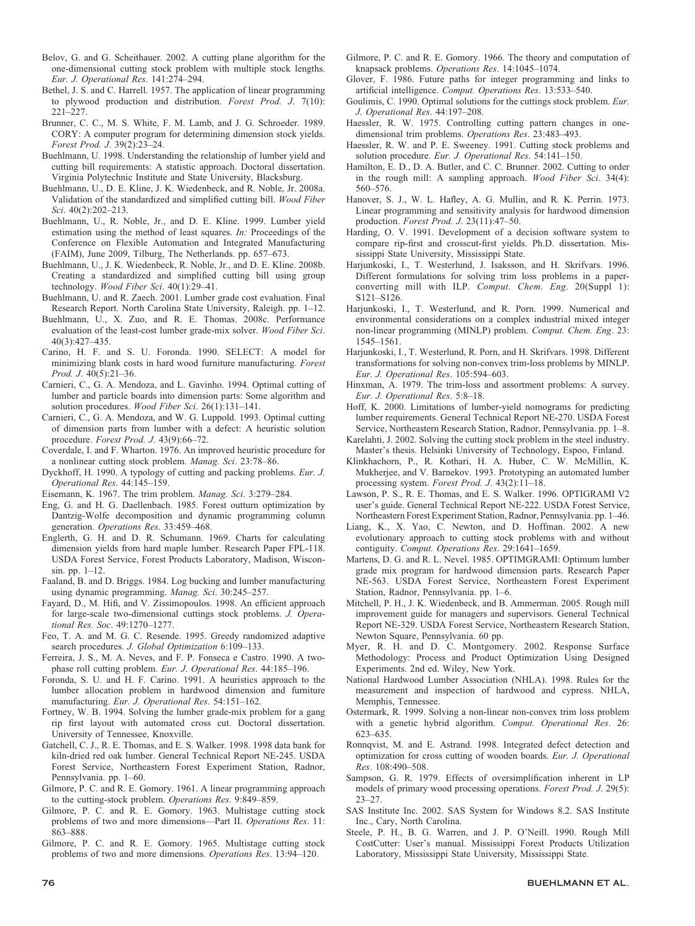- Belov, G. and G. Scheithauer. 2002. A cutting plane algorithm for the one-dimensional cutting stock problem with multiple stock lengths. Eur. J. Operational Res. 141:274–294.
- Bethel, J. S. and C. Harrell. 1957. The application of linear programming to plywood production and distribution. Forest Prod. J. 7(10): 221–227.
- Brunner, C. C., M. S. White, F. M. Lamb, and J. G. Schroeder. 1989. CORY: A computer program for determining dimension stock yields. Forest Prod. J. 39(2):23–24.
- Buehlmann, U. 1998. Understanding the relationship of lumber yield and cutting bill requirements: A statistic approach. Doctoral dissertation. Virginia Polytechnic Institute and State University, Blacksburg.
- Buehlmann, U., D. E. Kline, J. K. Wiedenbeck, and R. Noble, Jr. 2008a. Validation of the standardized and simplified cutting bill. Wood Fiber Sci. 40(2):202-213.
- Buehlmann, U., R. Noble, Jr., and D. E. Kline. 1999. Lumber yield estimation using the method of least squares. In: Proceedings of the Conference on Flexible Automation and Integrated Manufacturing (FAIM), June 2009, Tilburg, The Netherlands. pp. 657–673.
- Buehlmann, U., J. K. Wiedenbeck, R. Noble, Jr., and D. E. Kline. 2008b. Creating a standardized and simplified cutting bill using group technology. Wood Fiber Sci. 40(1):29–41.
- Buehlmann, U. and R. Zaech. 2001. Lumber grade cost evaluation. Final Research Report. North Carolina State University, Raleigh. pp. 1–12.
- Buehlmann, U., X. Zuo, and R. E. Thomas. 2008c. Performance evaluation of the least-cost lumber grade-mix solver. Wood Fiber Sci. 40(3):427–435.
- Carino, H. F. and S. U. Foronda. 1990. SELECT: A model for minimizing blank costs in hard wood furniture manufacturing. Forest Prod. J. 40(5):21–36.
- Carnieri, C., G. A. Mendoza, and L. Gavinho. 1994. Optimal cutting of lumber and particle boards into dimension parts: Some algorithm and solution procedures. Wood Fiber Sci. 26(1):131-141.
- Carnieri, C., G. A. Mendoza, and W. G. Luppold. 1993. Optimal cutting of dimension parts from lumber with a defect: A heuristic solution procedure. Forest Prod. J. 43(9):66-72.
- Coverdale, I. and F. Wharton. 1976. An improved heuristic procedure for a nonlinear cutting stock problem. Manag. Sci. 23:78–86.
- Dyckhoff, H. 1990. A typology of cutting and packing problems. Eur. J. Operational Res. 44:145–159.
- Eisemann, K. 1967. The trim problem. Manag. Sci. 3:279–284.
- Eng, G. and H. G. Daellenbach. 1985. Forest outturn optimization by Dantzig-Wolfe decomposition and dynamic programming column generation. Operations Res. 33:459–468.
- Englerth, G. H. and D. R. Schumann. 1969. Charts for calculating dimension yields from hard maple lumber. Research Paper FPL-118. USDA Forest Service, Forest Products Laboratory, Madison, Wisconsin. pp. 1–12.
- Faaland, B. and D. Briggs. 1984. Log bucking and lumber manufacturing using dynamic programming. Manag. Sci. 30:245–257.
- Fayard, D., M. Hifi, and V. Zissimopoulos. 1998. An efficient approach for large-scale two-dimensional cuttings stock problems. J. Operational Res. Soc. 49:1270–1277.
- Feo, T. A. and M. G. C. Resende. 1995. Greedy randomized adaptive search procedures. J. Global Optimization 6:109-133.
- Ferreira, J. S., M. A. Neves, and F. P. Fonseca e Castro. 1990. A twophase roll cutting problem. Eur. J. Operational Res. 44:185–196.
- Foronda, S. U. and H. F. Carino. 1991. A heuristics approach to the lumber allocation problem in hardwood dimension and furniture manufacturing. Eur. J. Operational Res. 54:151–162.
- Fortney, W. B. 1994. Solving the lumber grade-mix problem for a gang rip first layout with automated cross cut. Doctoral dissertation. University of Tennessee, Knoxville.
- Gatchell, C. J., R. E. Thomas, and E. S. Walker. 1998. 1998 data bank for kiln-dried red oak lumber. General Technical Report NE-245. USDA Forest Service, Northeastern Forest Experiment Station, Radnor, Pennsylvania. pp. 1–60.
- Gilmore, P. C. and R. E. Gomory. 1961. A linear programming approach to the cutting-stock problem. Operations Res. 9:849–859.
- Gilmore, P. C. and R. E. Gomory. 1963. Multistage cutting stock problems of two and more dimensions—Part II. Operations Res. 11: 863–888.
- Gilmore, P. C. and R. E. Gomory. 1965. Multistage cutting stock problems of two and more dimensions. Operations Res. 13:94–120.
- Gilmore, P. C. and R. E. Gomory. 1966. The theory and computation of knapsack problems. Operations Res. 14:1045-1074.
- Glover, F. 1986. Future paths for integer programming and links to artificial intelligence. Comput. Operations Res. 13:533–540.
- Goulimis, C. 1990. Optimal solutions for the cuttings stock problem. Eur. J. Operational Res. 44:197–208.
- Haessler, R. W. 1975. Controlling cutting pattern changes in onedimensional trim problems. Operations Res. 23:483–493.
- Haessler, R. W. and P. E. Sweeney. 1991. Cutting stock problems and solution procedure. Eur. J. Operational Res. 54:141-150.
- Hamilton, E. D., D. A. Butler, and C. C. Brunner. 2002. Cutting to order in the rough mill: A sampling approach. Wood Fiber Sci. 34(4): 560–576.
- Hanover, S. J., W. L. Hafley, A. G. Mullin, and R. K. Perrin. 1973. Linear programming and sensitivity analysis for hardwood dimension production. Forest Prod. J. 23(11):47–50.
- Harding, O. V. 1991. Development of a decision software system to compare rip-first and crosscut-first yields. Ph.D. dissertation. Mississippi State University, Mississippi State.
- Harjunkoski, I., T. Westerlund, J. Isaksson, and H. Skrifvars. 1996. Different formulations for solving trim loss problems in a paperconverting mill with ILP. Comput. Chem. Eng. 20(Suppl 1): S121–S126.
- Harjunkoski, I., T. Westerlund, and R. Porn. 1999. Numerical and environmental considerations on a complex industrial mixed integer non-linear programming (MINLP) problem. Comput. Chem. Eng. 23: 1545–1561.
- Harjunkoski, I., T. Westerlund, R. Porn, and H. Skrifvars. 1998. Different transformations for solving non-convex trim-loss problems by MINLP. Eur. J. Operational Res. 105:594–603.
- Hinxman, A. 1979. The trim-loss and assortment problems: A survey. Eur. J. Operational Res. 5:8–18.
- Hoff, K. 2000. Limitations of lumber-yield nomograms for predicting lumber requirements. General Technical Report NE-270. USDA Forest Service, Northeastern Research Station, Radnor, Pennsylvania. pp. 1–8.
- Karelahti, J. 2002. Solving the cutting stock problem in the steel industry. Master's thesis. Helsinki University of Technology, Espoo, Finland.
- Klinkhachorn, P., R. Kothari, H. A. Huber, C. W. McMillin, K. Mukherjee, and V. Barnekov. 1993. Prototyping an automated lumber processing system. Forest Prod. J. 43(2):11–18.
- Lawson, P. S., R. E. Thomas, and E. S. Walker. 1996. OPTIGRAMI V2 user's guide. General Technical Report NE-222. USDA Forest Service, Northeastern Forest Experiment Station, Radnor, Pennsylvania. pp. 1–46.
- Liang, K., X. Yao, C. Newton, and D. Hoffman. 2002. A new evolutionary approach to cutting stock problems with and without contiguity. Comput. Operations Res. 29:1641–1659.
- Martens, D. G. and R. L. Nevel. 1985. OPTIMGRAMI: Optimum lumber grade mix program for hardwood dimension parts. Research Paper NE-563. USDA Forest Service, Northeastern Forest Experiment Station, Radnor, Pennsylvania. pp. 1–6.
- Mitchell, P. H., J. K. Wiedenbeck, and B. Ammerman. 2005. Rough mill improvement guide for managers and supervisors. General Technical Report NE-329. USDA Forest Service, Northeastern Research Station, Newton Square, Pennsylvania. 60 pp.
- Myer, R. H. and D. C. Montgomery. 2002. Response Surface Methodology: Process and Product Optimization Using Designed Experiments. 2nd ed. Wiley, New York.
- National Hardwood Lumber Association (NHLA). 1998. Rules for the measurement and inspection of hardwood and cypress. NHLA, Memphis, Tennessee.
- Ostermark, R. 1999. Solving a non-linear non-convex trim loss problem with a genetic hybrid algorithm. Comput. Operational Res. 26: 623–635.
- Ronnqvist, M. and E. Astrand. 1998. Integrated defect detection and optimization for cross cutting of wooden boards. Eur. J. Operational Res. 108:490–508.
- Sampson, G. R. 1979. Effects of oversimplification inherent in LP models of primary wood processing operations. Forest Prod. J. 29(5): 23–27.
- SAS Institute Inc. 2002. SAS System for Windows 8.2. SAS Institute Inc., Cary, North Carolina.
- Steele, P. H., B. G. Warren, and J. P. O'Neill. 1990. Rough Mill CostCutter: User's manual. Mississippi Forest Products Utilization Laboratory, Mississippi State University, Mississippi State.